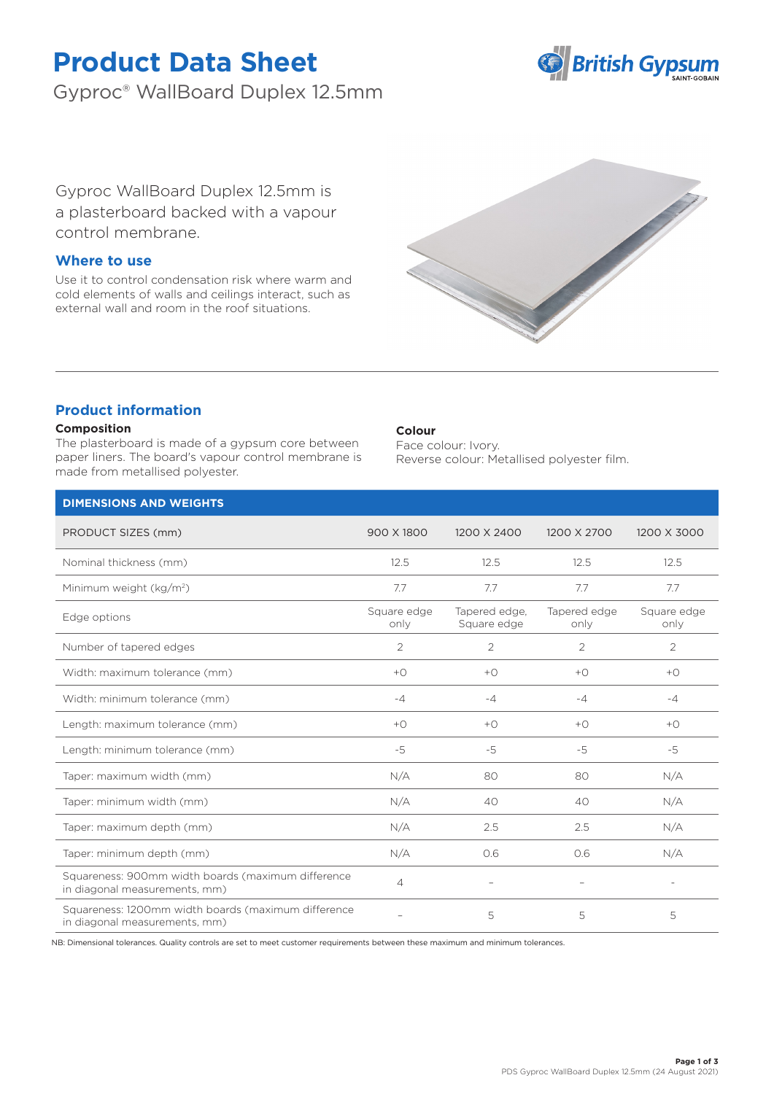# **Product Data Sheet**

Gyproc® WallBoard Duplex 12.5mm



Gyproc WallBoard Duplex 12.5mm is a plasterboard backed with a vapour control membrane.

# **Where to use**

Use it to control condensation risk where warm and cold elements of walls and ceilings interact, such as external wall and room in the roof situations.



# **Product information**

### **Composition**

The plasterboard is made of a gypsum core between paper liners. The board's vapour control membrane is made from metallised polyester.

#### **Colour**

Face colour: Ivory. Reverse colour: Metallised polyester film.

| <b>DIMENSIONS AND WEIGHTS</b>                                                        |                     |                              |                          |                     |
|--------------------------------------------------------------------------------------|---------------------|------------------------------|--------------------------|---------------------|
| PRODUCT SIZES (mm)                                                                   | 900 X 1800          | 1200 X 2400                  | 1200 X 2700              | 1200 X 3000         |
| Nominal thickness (mm)                                                               | 12.5                | 12.5                         | 12.5                     | 12.5                |
| Minimum weight (kg/m <sup>2</sup> )                                                  | 7.7                 | 7.7                          | 7.7                      | 7.7                 |
| Edge options                                                                         | Square edge<br>only | Tapered edge,<br>Square edge | Tapered edge<br>only     | Square edge<br>only |
| Number of tapered edges                                                              | 2                   | 2                            | 2                        | 2                   |
| Width: maximum tolerance (mm)                                                        | $+$ $\bigcirc$      | $+$ $\bigcirc$               | $+$ $\bigcirc$           | $+$ $\bigcirc$      |
| Width: minimum tolerance (mm)                                                        | $-4$                | $-4$                         | $-4$                     | $-4$                |
| Length: maximum tolerance (mm)                                                       | $+$ $\bigcirc$      | $+$ $\bigcirc$               | $+$ $\bigcirc$           | $+$ $\circ$         |
| Length: minimum tolerance (mm)                                                       | $-5$                | $-5$                         | $-5$                     | $-5$                |
| Taper: maximum width (mm)                                                            | N/A                 | 80                           | 80                       | N/A                 |
| Taper: minimum width (mm)                                                            | N/A                 | 40                           | 40                       | N/A                 |
| Taper: maximum depth (mm)                                                            | N/A                 | 2.5                          | 2.5                      | N/A                 |
| Taper: minimum depth (mm)                                                            | N/A                 | 0.6                          | 0.6                      | N/A                 |
| Squareness: 900mm width boards (maximum difference<br>in diagonal measurements, mm)  | $\overline{4}$      | $\overline{\phantom{m}}$     | $\overline{\phantom{a}}$ | $\sim$              |
| Squareness: 1200mm width boards (maximum difference<br>in diagonal measurements, mm) |                     | 5                            | 5                        | 5                   |

NB: Dimensional tolerances. Quality controls are set to meet customer requirements between these maximum and minimum tolerances.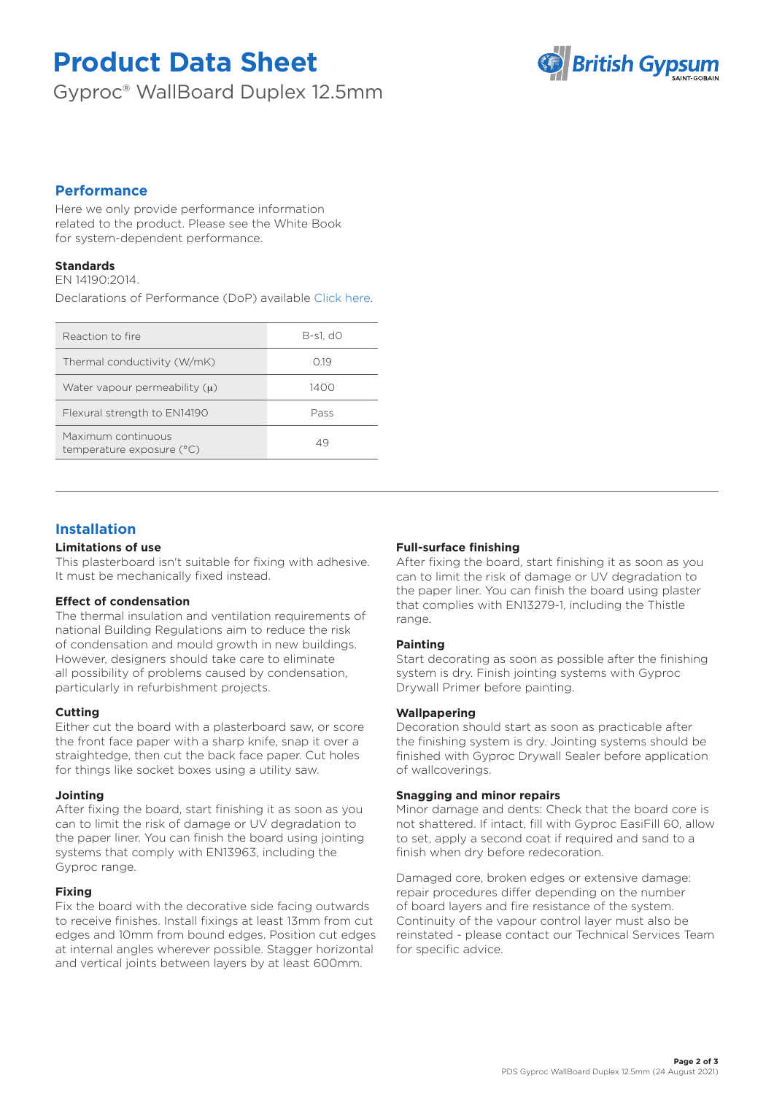# **Product Data Sheet**

Gyproc® WallBoard Duplex 12.5mm



# **Performance**

Here we only provide performance information related to the product. Please see the White Book for system-dependent performance.

## **Standards**

EN 14190:2014.

Declarations of Performance (DoP) available [Click here.](https://www.british-gypsum.com/DoP)

| Reaction to fire                                | B-s1, d0 |  |
|-------------------------------------------------|----------|--|
| Thermal conductivity (W/mK)                     | O 19     |  |
| Water vapour permeability $(\mu)$               | 1400     |  |
| Flexural strength to EN14190                    | Pass     |  |
| Maximum continuous<br>temperature exposure (°C) | 49       |  |
|                                                 |          |  |

# **Installation**

### **Limitations of use**

This plasterboard isn't suitable for fixing with adhesive. It must be mechanically fixed instead.

## **Effect of condensation**

The thermal insulation and ventilation requirements of national Building Regulations aim to reduce the risk of condensation and mould growth in new buildings. However, designers should take care to eliminate all possibility of problems caused by condensation, particularly in refurbishment projects.

## **Cutting**

Either cut the board with a plasterboard saw, or score the front face paper with a sharp knife, snap it over a straightedge, then cut the back face paper. Cut holes for things like socket boxes using a utility saw.

#### **Jointing**

After fixing the board, start finishing it as soon as you can to limit the risk of damage or UV degradation to the paper liner. You can finish the board using jointing systems that comply with EN13963, including the Gyproc range.

## **Fixing**

Fix the board with the decorative side facing outwards to receive finishes. Install fixings at least 13mm from cut edges and 10mm from bound edges. Position cut edges at internal angles wherever possible. Stagger horizontal and vertical joints between layers by at least 600mm.

### **Full-surface finishing**

After fixing the board, start finishing it as soon as you can to limit the risk of damage or UV degradation to the paper liner. You can finish the board using plaster that complies with EN13279-1, including the Thistle range.

#### **Painting**

Start decorating as soon as possible after the finishing system is dry. Finish jointing systems with Gyproc Drywall Primer before painting.

#### **Wallpapering**

Decoration should start as soon as practicable after the finishing system is dry. Jointing systems should be finished with Gyproc Drywall Sealer before application of wallcoverings.

#### **Snagging and minor repairs**

Minor damage and dents: Check that the board core is not shattered. If intact, fill with Gyproc EasiFill 60, allow to set, apply a second coat if required and sand to a finish when dry before redecoration.

Damaged core, broken edges or extensive damage: repair procedures differ depending on the number of board layers and fire resistance of the system. Continuity of the vapour control layer must also be reinstated - please contact our Technical Services Team for specific advice.